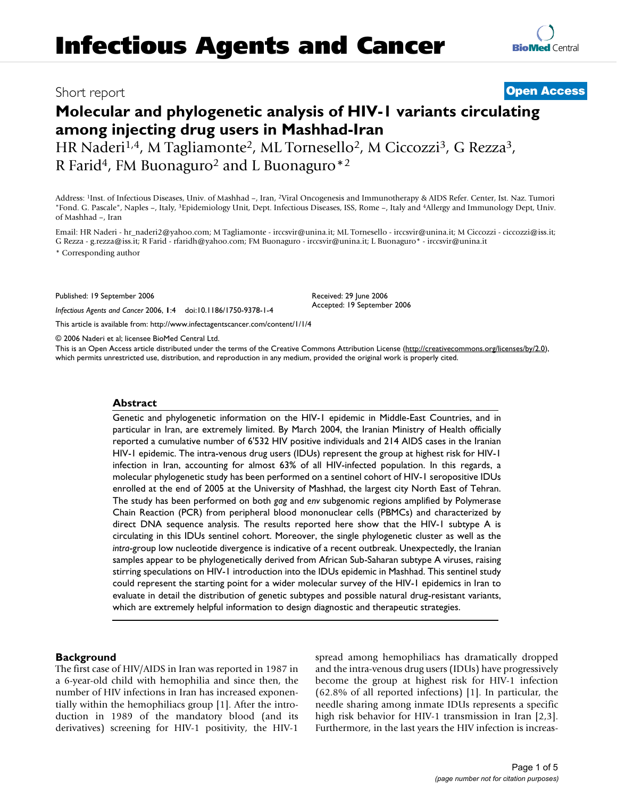**[BioMed](http://www.biomedcentral.com/)** Central

# **Molecular and phylogenetic analysis of HIV-1 variants circulating among injecting drug users in Mashhad-Iran**

HR Naderi<sup>1,4</sup>, M Tagliamonte<sup>2</sup>, ML Tornesello<sup>2</sup>, M Ciccozzi<sup>3</sup>, G Rezza<sup>3</sup>, R Farid<sup>4</sup>, FM Buonaguro<sup>2</sup> and L Buonaguro<sup>\*2</sup>

Address: 1Inst. of Infectious Diseases, Univ. of Mashhad –, Iran, 2Viral Oncogenesis and Immunotherapy & AIDS Refer. Center, Ist. Naz. Tumori "Fond. G. Pascale", Naples –, Italy, 3Epidemiology Unit, Dept. Infectious Diseases, ISS, Rome –, Italy and 4Allergy and Immunology Dept, Univ. of Mashhad –, Iran

Email: HR Naderi - hr\_naderi2@yahoo.com; M Tagliamonte - irccsvir@unina.it; ML Tornesello - irccsvir@unina.it; M Ciccozzi - ciccozzi@iss.it; G Rezza - g.rezza@iss.it; R Farid - rfaridh@yahoo.com; FM Buonaguro - irccsvir@unina.it; L Buonaguro\* - irccsvir@unina.it

> Received: 29 June 2006 Accepted: 19 September 2006

\* Corresponding author

Published: 19 September 2006

*Infectious Agents and Cancer* 2006, **1**:4 doi:10.1186/1750-9378-1-4

[This article is available from: http://www.infectagentscancer.com/content/1/1/4](http://www.infectagentscancer.com/content/1/1/4)

© 2006 Naderi et al; licensee BioMed Central Ltd.

This is an Open Access article distributed under the terms of the Creative Commons Attribution License [\(http://creativecommons.org/licenses/by/2.0\)](http://creativecommons.org/licenses/by/2.0), which permits unrestricted use, distribution, and reproduction in any medium, provided the original work is properly cited.

## **Abstract**

Genetic and phylogenetic information on the HIV-1 epidemic in Middle-East Countries, and in particular in Iran, are extremely limited. By March 2004, the Iranian Ministry of Health officially reported a cumulative number of 6'532 HIV positive individuals and 214 AIDS cases in the Iranian HIV-1 epidemic. The intra-venous drug users (IDUs) represent the group at highest risk for HIV-1 infection in Iran, accounting for almost 63% of all HIV-infected population. In this regards, a molecular phylogenetic study has been performed on a sentinel cohort of HIV-1 seropositive IDUs enrolled at the end of 2005 at the University of Mashhad, the largest city North East of Tehran. The study has been performed on both *gag* and *env* subgenomic regions amplified by Polymerase Chain Reaction (PCR) from peripheral blood mononuclear cells (PBMCs) and characterized by direct DNA sequence analysis. The results reported here show that the HIV-1 subtype A is circulating in this IDUs sentinel cohort. Moreover, the single phylogenetic cluster as well as the *intra*-group low nucleotide divergence is indicative of a recent outbreak. Unexpectedly, the Iranian samples appear to be phylogenetically derived from African Sub-Saharan subtype A viruses, raising stirring speculations on HIV-1 introduction into the IDUs epidemic in Mashhad. This sentinel study could represent the starting point for a wider molecular survey of the HIV-1 epidemics in Iran to evaluate in detail the distribution of genetic subtypes and possible natural drug-resistant variants, which are extremely helpful information to design diagnostic and therapeutic strategies.

# **Background**

The first case of HIV/AIDS in Iran was reported in 1987 in a 6-year-old child with hemophilia and since then, the number of HIV infections in Iran has increased exponentially within the hemophiliacs group [1]. After the introduction in 1989 of the mandatory blood (and its derivatives) screening for HIV-1 positivity, the HIV-1 spread among hemophiliacs has dramatically dropped and the intra-venous drug users (IDUs) have progressively become the group at highest risk for HIV-1 infection (62.8% of all reported infections) [1]. In particular, the needle sharing among inmate IDUs represents a specific high risk behavior for HIV-1 transmission in Iran [2,3]. Furthermore, in the last years the HIV infection is increas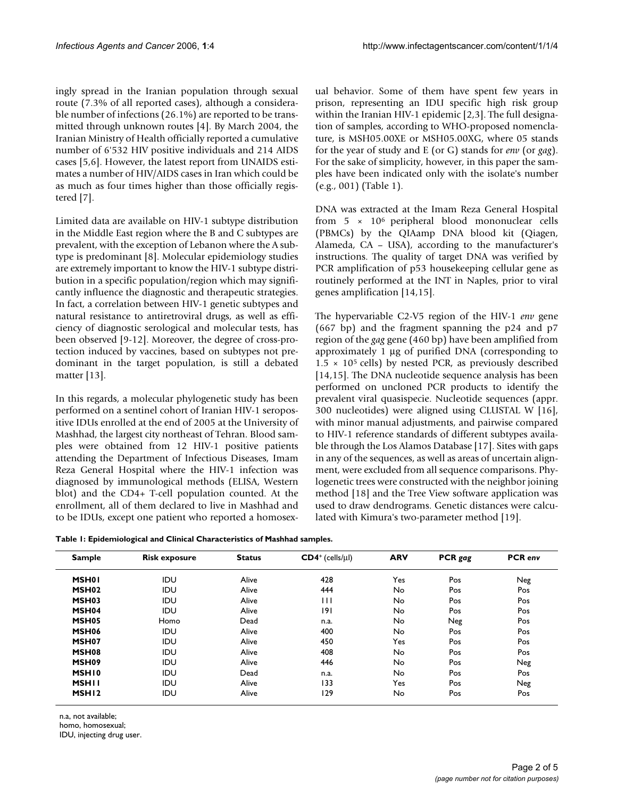ingly spread in the Iranian population through sexual route (7.3% of all reported cases), although a considerable number of infections (26.1%) are reported to be transmitted through unknown routes [4]. By March 2004, the Iranian Ministry of Health officially reported a cumulative number of 6'532 HIV positive individuals and 214 AIDS cases [5,6]. However, the latest report from UNAIDS estimates a number of HIV/AIDS cases in Iran which could be as much as four times higher than those officially registered [7].

Limited data are available on HIV-1 subtype distribution in the Middle East region where the B and C subtypes are prevalent, with the exception of Lebanon where the A subtype is predominant [8]. Molecular epidemiology studies are extremely important to know the HIV-1 subtype distribution in a specific population/region which may significantly influence the diagnostic and therapeutic strategies. In fact, a correlation between HIV-1 genetic subtypes and natural resistance to antiretroviral drugs, as well as efficiency of diagnostic serological and molecular tests, has been observed [9-12]. Moreover, the degree of cross-protection induced by vaccines, based on subtypes not predominant in the target population, is still a debated matter [13].

In this regards, a molecular phylogenetic study has been performed on a sentinel cohort of Iranian HIV-1 seropositive IDUs enrolled at the end of 2005 at the University of Mashhad, the largest city northeast of Tehran. Blood samples were obtained from 12 HIV-1 positive patients attending the Department of Infectious Diseases, Imam Reza General Hospital where the HIV-1 infection was diagnosed by immunological methods (ELISA, Western blot) and the CD4+ T-cell population counted. At the enrollment, all of them declared to live in Mashhad and to be IDUs, except one patient who reported a homosexual behavior. Some of them have spent few years in prison, representing an IDU specific high risk group within the Iranian HIV-1 epidemic [2,3]. The full designation of samples, according to WHO-proposed nomenclature, is MSH05.00XE or MSH05.00XG, where 05 stands for the year of study and E (or G) stands for *env* (or *gag*). For the sake of simplicity, however, in this paper the samples have been indicated only with the isolate's number (e.g., 001) (Table 1).

DNA was extracted at the Imam Reza General Hospital from 5 × 106 peripheral blood mononuclear cells (PBMCs) by the QIAamp DNA blood kit (Qiagen, Alameda, CA – USA), according to the manufacturer's instructions. The quality of target DNA was verified by PCR amplification of p53 housekeeping cellular gene as routinely performed at the INT in Naples, prior to viral genes amplification [14,15].

The hypervariable C2-V5 region of the HIV-1 *env* gene (667 bp) and the fragment spanning the p24 and p7 region of the *gag* gene (460 bp) have been amplified from approximately 1 μg of purified DNA (corresponding to  $1.5 \times 10^5$  cells) by nested PCR, as previously described [14,15]. The DNA nucleotide sequence analysis has been performed on uncloned PCR products to identify the prevalent viral quasispecie. Nucleotide sequences (appr. 300 nucleotides) were aligned using CLUSTAL W [16], with minor manual adjustments, and pairwise compared to HIV-1 reference standards of different subtypes available through the Los Alamos Database [17]. Sites with gaps in any of the sequences, as well as areas of uncertain alignment, were excluded from all sequence comparisons. Phylogenetic trees were constructed with the neighbor joining method [18] and the Tree View software application was used to draw dendrograms. Genetic distances were calculated with Kimura's two-parameter method [19].

|  |  |  |  | Table 1: Epidemiological and Clinical Characteristics of Mashhad samples. |
|--|--|--|--|---------------------------------------------------------------------------|
|--|--|--|--|---------------------------------------------------------------------------|

| <b>Sample</b>     | <b>Risk exposure</b> | <b>Status</b> | $CD4^+$ (cells/ $\mu$ l) | <b>ARV</b> | PCR gag | <b>PCR</b> env |
|-------------------|----------------------|---------------|--------------------------|------------|---------|----------------|
| <b>MSH01</b>      | <b>IDU</b>           | Alive         | 428                      | Yes        | Pos     | Neg            |
| MSH <sub>02</sub> | IDU                  | Alive         | 444                      | No         | Pos     | Pos            |
| MSH <sub>03</sub> | IDU                  | Alive         | Ш                        | No         | Pos     | Pos            |
| MSH <sub>04</sub> | <b>IDU</b>           | Alive         | 191                      | No         | Pos     | Pos            |
| MSH <sub>05</sub> | Homo                 | Dead          | n.a.                     | No.        | Neg     | Pos            |
| MSH <sub>06</sub> | <b>IDU</b>           | Alive         | 400                      | No         | Pos     | Pos            |
| MSH <sub>07</sub> | IDU                  | Alive         | 450                      | Yes        | Pos     | Pos            |
| MSH08             | IDU                  | Alive         | 408                      | No         | Pos     | Pos            |
| MSH <sub>09</sub> | IDU                  | Alive         | 446                      | No         | Pos     | Neg            |
| <b>MSHI0</b>      | IDU                  | Dead          | n.a.                     | No         | Pos     | Pos            |
| <b>MSHII</b>      | <b>IDU</b>           | Alive         | 133                      | Yes        | Pos     | Neg            |
| MSH <sub>12</sub> | <b>IDU</b>           | Alive         | 129                      | No         | Pos     | Pos            |

n.a, not available;

homo, homosexual;

IDU, injecting drug user.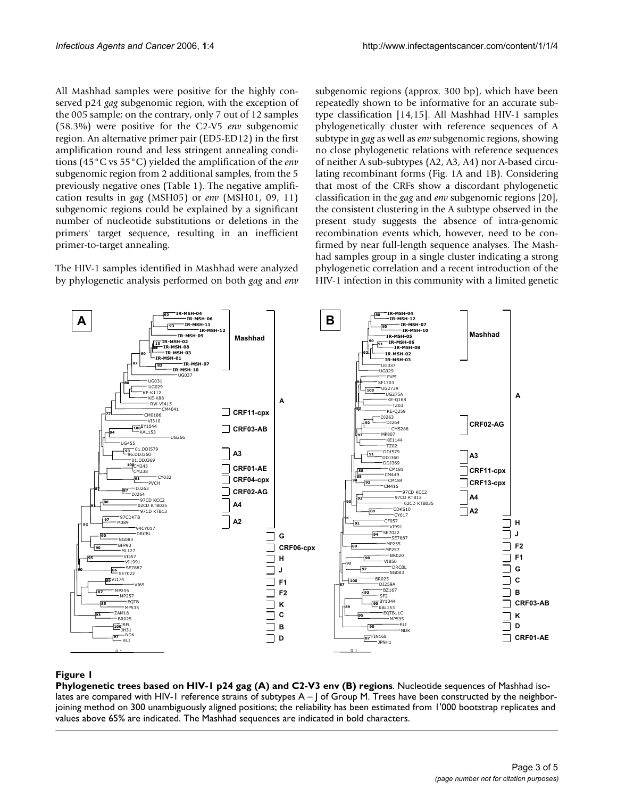All Mashhad samples were positive for the highly conserved p24 *gag* subgenomic region, with the exception of the 005 sample; on the contrary, only 7 out of 12 samples (58.3%) were positive for the C2-V5 *env* subgenomic region. An alternative primer pair (ED5-ED12) in the first amplification round and less stringent annealing conditions (45°C vs 55°C) yielded the amplification of the *env* subgenomic region from 2 additional samples, from the 5 previously negative ones (Table 1). The negative amplification results in *gag* (MSH05) or *env* (MSH01, 09, 11) subgenomic regions could be explained by a significant number of nucleotide substitutions or deletions in the primers' target sequence, resulting in an inefficient primer-to-target annealing.

The HIV-1 samples identified in Mashhad were analyzed by phylogenetic analysis performed on both *gag* and *env* subgenomic regions (approx. 300 bp), which have been repeatedly shown to be informative for an accurate subtype classification [14,15]. All Mashhad HIV-1 samples phylogenetically cluster with reference sequences of A subtype in *gag* as well as *env* subgenomic regions, showing no close phylogenetic relations with reference sequences of neither A sub-subtypes (A2, A3, A4) nor A-based circulating recombinant forms (Fig. 1A and 1B). Considering that most of the CRFs show a discordant phylogenetic classification in the *gag* and *env* subgenomic regions [20], the consistent clustering in the A subtype observed in the present study suggests the absence of intra-genomic recombination events which, however, need to be confirmed by near full-length sequence analyses. The Mashhad samples group in a single cluster indicating a strong phylogenetic correlation and a recent introduction of the HIV-1 infection in this community with a limited genetic



# **Figure 1**

**Phylogenetic trees based on HIV-1 p24 gag (A) and C2-V3 env (B) regions**. Nucleotide sequences of Mashhad isolates are compared with HIV-1 reference strains of subtypes A - J of Group M. Trees have been constructed by the neighborjoining method on 300 unambiguously aligned positions; the reliability has been estimated from 1'000 bootstrap replicates and values above 65% are indicated. The Mashhad sequences are indicated in bold characters.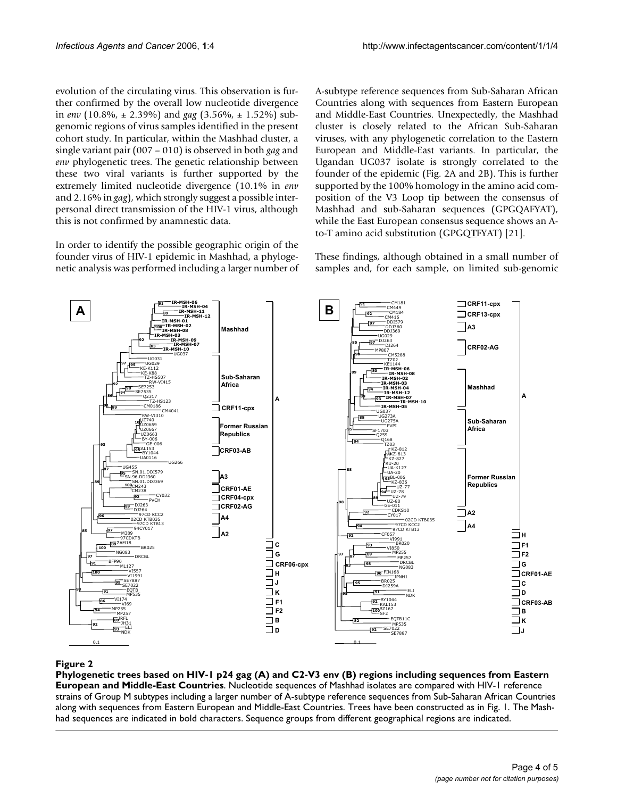evolution of the circulating virus. This observation is further confirmed by the overall low nucleotide divergence in *env* (10.8%, ± 2.39%) and *gag* (3.56%, ± 1.52%) subgenomic regions of virus samples identified in the present cohort study. In particular, within the Mashhad cluster, a single variant pair (007 – 010) is observed in both *gag* and *env* phylogenetic trees. The genetic relationship between these two viral variants is further supported by the extremely limited nucleotide divergence (10.1% in *env* and 2.16% in *gag*), which strongly suggest a possible interpersonal direct transmission of the HIV-1 virus, although this is not confirmed by anamnestic data.

In order to identify the possible geographic origin of the founder virus of HIV-1 epidemic in Mashhad, a phylogenetic analysis was performed including a larger number of A-subtype reference sequences from Sub-Saharan African Countries along with sequences from Eastern European and Middle-East Countries. Unexpectedly, the Mashhad cluster is closely related to the African Sub-Saharan viruses, with any phylogenetic correlation to the Eastern European and Middle-East variants. In particular, the Ugandan UG037 isolate is strongly correlated to the founder of the epidemic (Fig. 2A and 2B). This is further supported by the 100% homology in the amino acid composition of the V3 Loop tip between the consensus of Mashhad and sub-Saharan sequences (GPGQAFYAT), while the East European consensus sequence shows an Ato-T amino acid substitution (GPGQ**T**FYAT) [21].

These findings, although obtained in a small number of samples and, for each sample, on limited sub-genomic

![](_page_3_Figure_6.jpeg)

# Phylogenetic trees based on HIV-1 p24 gag (A) and C2-V3 env (B dle-East Countries **Figure 2** ) regions including sequences from Eastern European and Mid-

**Phylogenetic trees based on HIV-1 p24 gag (A) and C2-V3 env (B) regions including sequences from Eastern European and Middle-East Countries**. Nucleotide sequences of Mashhad isolates are compared with HIV-1 reference strains of Group M subtypes including a larger number of A-subtype reference sequences from Sub-Saharan African Countries along with sequences from Eastern European and Middle-East Countries. Trees have been constructed as in Fig. 1. The Mashhad sequences are indicated in bold characters. Sequence groups from different geographical regions are indicated.